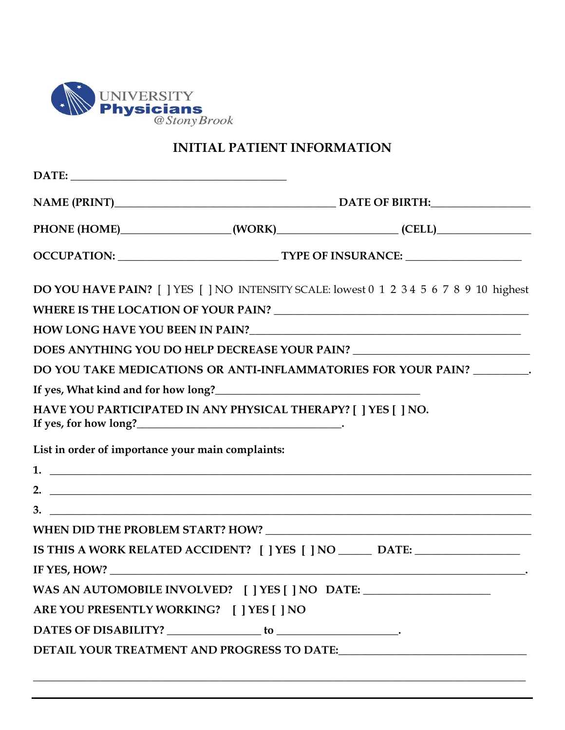

## **INITIAL PATIENT INFORMATION**

|                                                   |                                                                                   | PHONE (HOME)__________________(WORK)__________________(CELL)____________________        |  |
|---------------------------------------------------|-----------------------------------------------------------------------------------|-----------------------------------------------------------------------------------------|--|
|                                                   |                                                                                   |                                                                                         |  |
|                                                   |                                                                                   | DO YOU HAVE PAIN? [ ] YES [ ] NO INTENSITY SCALE: lowest 0 1 2 3 4 5 6 7 8 9 10 highest |  |
|                                                   |                                                                                   |                                                                                         |  |
|                                                   |                                                                                   |                                                                                         |  |
|                                                   |                                                                                   | DOES ANYTHING YOU DO HELP DECREASE YOUR PAIN? __________________________________        |  |
|                                                   |                                                                                   | DO YOU TAKE MEDICATIONS OR ANTI-INFLAMMATORIES FOR YOUR PAIN? _________.                |  |
|                                                   | If yes, What kind and for how long?<br><u>If</u> yes, What kind and for how long? |                                                                                         |  |
|                                                   | HAVE YOU PARTICIPATED IN ANY PHYSICAL THERAPY? [ ] YES [ ] NO.                    |                                                                                         |  |
| List in order of importance your main complaints: |                                                                                   |                                                                                         |  |
|                                                   |                                                                                   | $1.$ $\overline{\phantom{a}}$                                                           |  |
|                                                   |                                                                                   |                                                                                         |  |
|                                                   | $3.$ $\overline{\phantom{a}}$                                                     |                                                                                         |  |
|                                                   |                                                                                   |                                                                                         |  |
|                                                   |                                                                                   | IS THIS A WORK RELATED ACCIDENT? [ ] YES [ ] NO _______ DATE: __________________        |  |
|                                                   |                                                                                   |                                                                                         |  |
|                                                   |                                                                                   | WAS AN AUTOMOBILE INVOLVED? [ ] YES [ ] NO DATE: _______________________________        |  |
| ARE YOU PRESENTLY WORKING? [ ] YES [ ] NO         |                                                                                   |                                                                                         |  |
|                                                   |                                                                                   |                                                                                         |  |
|                                                   |                                                                                   | DETAIL YOUR TREATMENT AND PROGRESS TO DATE: NAMEL AND A RESERVE TO DATE:                |  |
|                                                   |                                                                                   |                                                                                         |  |
|                                                   |                                                                                   |                                                                                         |  |